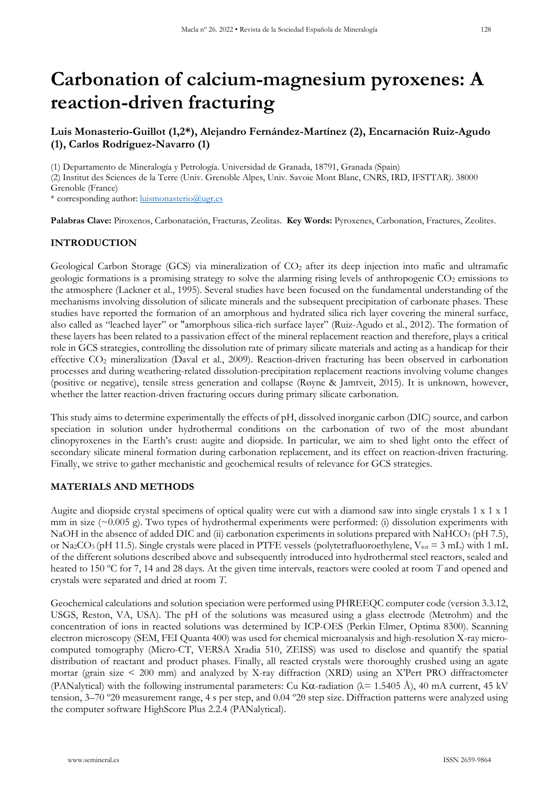# **Carbonation of calcium-magnesium pyroxenes: A reaction-driven fracturing**

# **Luis Monasterio-Guillot (1,2\*), Alejandro Fernández-Martínez (2), Encarnación Ruiz-Agudo (1), Carlos Rodríguez-Navarro (1)**

(1) Departamento de Mineralogía y Petrología. Universidad de Granada, 18791, Granada (Spain)

(2) Institut des Sciences de la Terre (Univ. Grenoble Alpes, Univ. Savoie Mont Blanc, CNRS, IRD, IFSTTAR). 38000 Grenoble (France)

\* corresponding author: [luismonasterio@ugr.es](mailto:luismonasterio@ugr.es)

**Palabras Clave:** Piroxenos, Carbonatación, Fracturas, Zeolitas. **Key Words:** Pyroxenes, Carbonation, Fractures, Zeolites.

## **INTRODUCTION**

Geological Carbon Storage (GCS) via mineralization of CO<sub>2</sub> after its deep injection into mafic and ultramafic geologic formations is a promising strategy to solve the alarming rising levels of anthropogenic  $CO<sub>2</sub>$  emissions to the atmosphere (Lackner et al., 1995). Several studies have been focused on the fundamental understanding of the mechanisms involving dissolution of silicate minerals and the subsequent precipitation of carbonate phases. These studies have reported the formation of an amorphous and hydrated silica rich layer covering the mineral surface, also called as "leached layer" or "amorphous silica-rich surface layer" (Ruiz-Agudo et al., 2012). The formation of these layers has been related to a passivation effect of the mineral replacement reaction and therefore, plays a critical role in GCS strategies, controlling the dissolution rate of primary silicate materials and acting as a handicap for their effective CO2 mineralization (Daval et al., 2009). Reaction-driven fracturing has been observed in carbonation processes and during weathering-related dissolution-precipitation replacement reactions involving volume changes (positive or negative), tensile stress generation and collapse (Røyne & Jamtveit, 2015). It is unknown, however, whether the latter reaction-driven fracturing occurs during primary silicate carbonation.

This study aims to determine experimentally the effects of pH, dissolved inorganic carbon (DIC) source, and carbon speciation in solution under hydrothermal conditions on the carbonation of two of the most abundant clinopyroxenes in the Earth's crust: augite and diopside. In particular, we aim to shed light onto the effect of secondary silicate mineral formation during carbonation replacement, and its effect on reaction-driven fracturing. Finally, we strive to gather mechanistic and geochemical results of relevance for GCS strategies.

## **MATERIALS AND METHODS**

Augite and diopside crystal specimens of optical quality were cut with a diamond saw into single crystals 1 x 1 x 1 mm in size  $(\sim 0.005 \text{ g})$ . Two types of hydrothermal experiments were performed: (i) dissolution experiments with NaOH in the absence of added DIC and (ii) carbonation experiments in solutions prepared with NaHCO<sub>3</sub> (pH 7.5), or Na<sub>2</sub>CO<sub>3</sub> (pH 11.5). Single crystals were placed in PTFE vessels (polytetrafluoroethylene, V<sub>tot</sub> = 3 mL) with 1 mL of the different solutions described above and subsequently introduced into hydrothermal steel reactors, sealed and heated to 150 ºC for 7, 14 and 28 days. At the given time intervals, reactors were cooled at room *T* and opened and crystals were separated and dried at room *T*.

Geochemical calculations and solution speciation were performed using PHREEQC computer code (version 3.3.12, USGS, Reston, VA, USA). The pH of the solutions was measured using a glass electrode (Metrohm) and the concentration of ions in reacted solutions was determined by ICP-OES (Perkin Elmer, Optima 8300). Scanning electron microscopy (SEM, FEI Quanta 400) was used for chemical microanalysis and high-resolution X-ray microcomputed tomography (Micro-CT, VERSA Xradia 510, ZEISS) was used to disclose and quantify the spatial distribution of reactant and product phases. Finally, all reacted crystals were thoroughly crushed using an agate mortar (grain size < 200 mm) and analyzed by X-ray diffraction (XRD) using an X'Pert PRO diffractometer (PANalytical) with the following instrumental parameters: Cu K $\alpha$ -radiation ( $\lambda$  = 1.5405 Å), 40 mA current, 45 kV tension, 3–70 º2θ measurement range, 4 s per step, and 0.04 º2θ step size. Diffraction patterns were analyzed using the computer software HighScore Plus 2.2.4 (PANalytical).